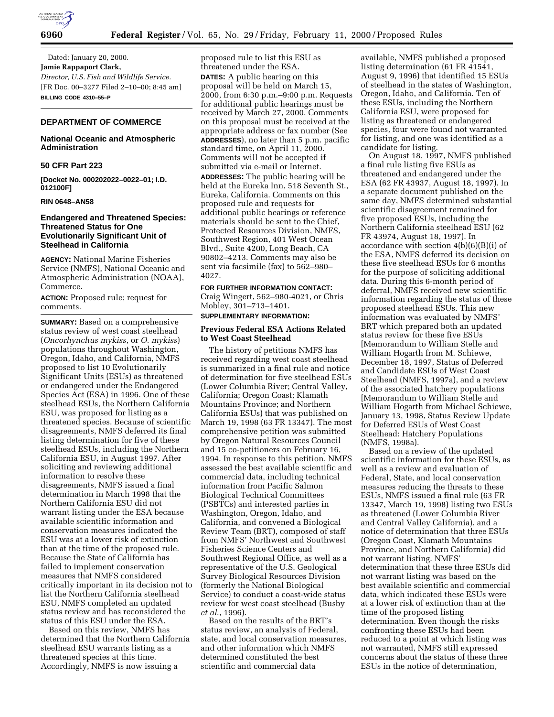

Dated: January 20, 2000. **Jamie Rappaport Clark,** *Director, U.S. Fish and Wildlife Service.* [FR Doc. 00–3277 Filed 2–10–00; 8:45 am] **BILLING CODE 4310–55–P**

# **DEPARTMENT OF COMMERCE**

# **National Oceanic and Atmospheric Administration**

# **50 CFR Part 223**

**[Docket No. 000202022–0022–01; I.D. 012100F]**

#### **RIN 0648–AN58**

# **Endangered and Threatened Species: Threatened Status for One Evolutionarily Significant Unit of Steelhead in California**

**AGENCY:** National Marine Fisheries Service (NMFS), National Oceanic and Atmospheric Administration (NOAA), Commerce.

**ACTION:** Proposed rule; request for comments.

**SUMMARY:** Based on a comprehensive status review of west coast steelhead (*Oncorhynchus mykiss*, or *O*. *mykiss*) populations throughout Washington, Oregon, Idaho, and California, NMFS proposed to list 10 Evolutionarily Significant Units (ESUs) as threatened or endangered under the Endangered Species Act (ESA) in 1996. One of these steelhead ESUs, the Northern California ESU, was proposed for listing as a threatened species. Because of scientific disagreements, NMFS deferred its final listing determination for five of these steelhead ESUs, including the Northern California ESU, in August 1997. After soliciting and reviewing additional information to resolve these disagreements, NMFS issued a final determination in March 1998 that the Northern California ESU did not warrant listing under the ESA because available scientific information and conservation measures indicated the ESU was at a lower risk of extinction than at the time of the proposed rule. Because the State of California has failed to implement conservation measures that NMFS considered critically important in its decision not to list the Northern California steelhead ESU, NMFS completed an updated status review and has reconsidered the status of this ESU under the ESA.

Based on this review, NMFS has determined that the Northern California steelhead ESU warrants listing as a threatened species at this time. Accordingly, NMFS is now issuing a

proposed rule to list this ESU as threatened under the ESA. **DATES:** A public hearing on this proposal will be held on March 15, 2000, from 6:30 p.m.–9:00 p.m. Requests for additional public hearings must be received by March 27, 2000. Comments on this proposal must be received at the appropriate address or fax number (See **ADDRESSES**), no later than 5 p.m. pacific standard time, on April 11, 2000. Comments will not be accepted if submitted via e-mail or Internet.

**ADDRESSES:** The public hearing will be held at the Eureka Inn, 518 Seventh St., Eureka, California. Comments on this proposed rule and requests for additional public hearings or reference materials should be sent to the Chief, Protected Resources Division, NMFS, Southwest Region, 401 West Ocean Blvd., Suite 4200, Long Beach, CA 90802–4213. Comments may also be sent via facsimile (fax) to 562–980– 4027.

**FOR FURTHER INFORMATION CONTACT:** Craig Wingert, 562–980-4021, or Chris Mobley, 301–713–1401.

# **SUPPLEMENTARY INFORMATION:**

### **Previous Federal ESA Actions Related to West Coast Steelhead**

The history of petitions NMFS has received regarding west coast steelhead is summarized in a final rule and notice of determination for five steelhead ESUs (Lower Columbia River; Central Valley, California; Oregon Coast; Klamath Mountains Province; and Northern California ESUs) that was published on March 19, 1998 (63 FR 13347). The most comprehensive petition was submitted by Oregon Natural Resources Council and 15 co-petitioners on February 16, 1994. In response to this petition, NMFS assessed the best available scientific and commercial data, including technical information from Pacific Salmon Biological Technical Committees (PSBTCs) and interested parties in Washington, Oregon, Idaho, and California, and convened a Biological Review Team (BRT), composed of staff from NMFS' Northwest and Southwest Fisheries Science Centers and Southwest Regional Office, as well as a representative of the U.S. Geological Survey Biological Resources Division (formerly the National Biological Service) to conduct a coast-wide status review for west coast steelhead (Busby *et al*., 1996).

Based on the results of the BRT's status review, an analysis of Federal, state, and local conservation measures, and other information which NMFS determined constituted the best scientific and commercial data

available, NMFS published a proposed listing determination (61 FR 41541, August 9, 1996) that identified 15 ESUs of steelhead in the states of Washington, Oregon, Idaho, and California. Ten of these ESUs, including the Northern California ESU, were proposed for listing as threatened or endangered species, four were found not warranted for listing, and one was identified as a candidate for listing.

On August 18, 1997, NMFS published a final rule listing five ESUs as threatened and endangered under the ESA (62 FR 43937, August 18, 1997). In a separate document published on the same day, NMFS determined substantial scientific disagreement remained for five proposed ESUs, including the Northern California steelhead ESU (62 FR 43974, August 18, 1997). In accordance with section 4(b)(6)(B)(i) of the ESA, NMFS deferred its decision on these five steelhead ESUs for 6 months for the purpose of soliciting additional data. During this 6-month period of deferral, NMFS received new scientific information regarding the status of these proposed steelhead ESUs. This new information was evaluated by NMFS' BRT which prepared both an updated status review for these five ESUs [Memorandum to William Stelle and William Hogarth from M. Schiewe, December 18, 1997, Status of Deferred and Candidate ESUs of West Coast Steelhead (NMFS, 1997a), and a review of the associated hatchery populations [Memorandum to William Stelle and William Hogarth from Michael Schiewe, January 13, 1998, Status Review Update for Deferred ESUs of West Coast Steelhead: Hatchery Populations (NMFS, 1998a).

Based on a review of the updated scientific information for these ESUs, as well as a review and evaluation of Federal, State, and local conservation measures reducing the threats to these ESUs, NMFS issued a final rule (63 FR 13347, March 19, 1998) listing two ESUs as threatened (Lower Columbia River and Central Valley California), and a notice of determination that three ESUs (Oregon Coast, Klamath Mountains Province, and Northern California) did not warrant listing. NMFS' determination that these three ESUs did not warrant listing was based on the best available scientific and commercial data, which indicated these ESUs were at a lower risk of extinction than at the time of the proposed listing determination. Even though the risks confronting these ESUs had been reduced to a point at which listing was not warranted, NMFS still expressed concerns about the status of these three ESUs in the notice of determination,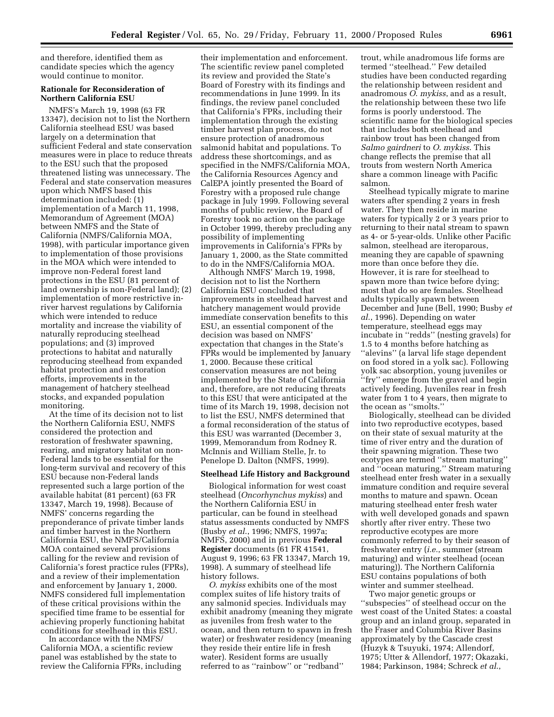and therefore, identified them as candidate species which the agency would continue to monitor.

### **Rationale for Reconsideration of Northern California ESU**

NMFS's March 19, 1998 (63 FR 13347), decision not to list the Northern California steelhead ESU was based largely on a determination that sufficient Federal and state conservation measures were in place to reduce threats to the ESU such that the proposed threatened listing was unnecessary. The Federal and state conservation measures upon which NMFS based this determination included: (1) implementation of a March 11, 1998, Memorandum of Agreement (MOA) between NMFS and the State of California (NMFS/California MOA, 1998), with particular importance given to implementation of those provisions in the MOA which were intended to improve non-Federal forest land protections in the ESU (81 percent of land ownership is non-Federal land); (2) implementation of more restrictive inriver harvest regulations by California which were intended to reduce mortality and increase the viability of naturally reproducing steelhead populations; and (3) improved protections to habitat and naturally reproducing steelhead from expanded habitat protection and restoration efforts, improvements in the management of hatchery steelhead stocks, and expanded population monitoring.

At the time of its decision not to list the Northern California ESU, NMFS considered the protection and restoration of freshwater spawning, rearing, and migratory habitat on non-Federal lands to be essential for the long-term survival and recovery of this ESU because non-Federal lands represented such a large portion of the available habitat (81 percent) (63 FR 13347, March 19, 1998). Because of NMFS' concerns regarding the preponderance of private timber lands and timber harvest in the Northern California ESU, the NMFS/California MOA contained several provisions calling for the review and revision of California's forest practice rules (FPRs), and a review of their implementation and enforcement by January 1, 2000. NMFS considered full implementation of these critical provisions within the specified time frame to be essential for achieving properly functioning habitat conditions for steelhead in this ESU.

In accordance with the NMFS/ California MOA, a scientific review panel was established by the state to review the California FPRs, including

their implementation and enforcement. The scientific review panel completed its review and provided the State's Board of Forestry with its findings and recommendations in June 1999. In its findings, the review panel concluded that California's FPRs, including their implementation through the existing timber harvest plan process, do not ensure protection of anadromous salmonid habitat and populations. To address these shortcomings, and as specified in the NMFS/California MOA, the California Resources Agency and CalEPA jointly presented the Board of Forestry with a proposed rule change package in July 1999. Following several months of public review, the Board of Forestry took no action on the package in October 1999, thereby precluding any possibility of implementing improvements in California's FPRs by January 1, 2000, as the State committed to do in the NMFS/California MOA.

Although NMFS' March 19, 1998, decision not to list the Northern California ESU concluded that improvements in steelhead harvest and hatchery management would provide immediate conservation benefits to this ESU, an essential component of the decision was based on NMFS' expectation that changes in the State's FPRs would be implemented by January 1, 2000. Because these critical conservation measures are not being implemented by the State of California and, therefore, are not reducing threats to this ESU that were anticipated at the time of its March 19, 1998, decision not to list the ESU, NMFS determined that a formal reconsideration of the status of this ESU was warranted (December 3, 1999, Memorandum from Rodney R. McInnis and William Stelle, Jr. to Penelope D. Dalton (NMFS, 1999).

#### **Steelhead Life History and Background**

Biological information for west coast steelhead (*Oncorhynchus mykiss*) and the Northern California ESU in particular, can be found in steelhead status assessments conducted by NMFS (Busby *et al*., 1996; NMFS, 1997a; NMFS, 2000) and in previous **Federal Register** documents (61 FR 41541, August 9, 1996; 63 FR 13347, March 19, 1998). A summary of steelhead life history follows.

*O*. *mykiss* exhibits one of the most complex suites of life history traits of any salmonid species. Individuals may exhibit anadromy (meaning they migrate as juveniles from fresh water to the ocean, and then return to spawn in fresh water) or freshwater residency (meaning they reside their entire life in fresh water). Resident forms are usually referred to as ''rainbow'' or ''redband''

trout, while anadromous life forms are termed ''steelhead.'' Few detailed studies have been conducted regarding the relationship between resident and anadromous *O*. *mykiss*, and as a result, the relationship between these two life forms is poorly understood. The scientific name for the biological species that includes both steelhead and rainbow trout has been changed from *Salmo gairdneri* to *O*. *mykiss*. This change reflects the premise that all trouts from western North America share a common lineage with Pacific salmon.

Steelhead typically migrate to marine waters after spending 2 years in fresh water. They then reside in marine waters for typically 2 or 3 years prior to returning to their natal stream to spawn as 4- or 5-year-olds. Unlike other Pacific salmon, steelhead are iteroparous, meaning they are capable of spawning more than once before they die. However, it is rare for steelhead to spawn more than twice before dying; most that do so are females. Steelhead adults typically spawn between December and June (Bell, 1990; Busby *et al*., 1996). Depending on water temperature, steelhead eggs may incubate in ''redds'' (nesting gravels) for 1.5 to 4 months before hatching as ''alevins'' (a larval life stage dependent on food stored in a yolk sac). Following yolk sac absorption, young juveniles or ''fry'' emerge from the gravel and begin actively feeding. Juveniles rear in fresh water from 1 to 4 years, then migrate to the ocean as ''smolts.''

Biologically, steelhead can be divided into two reproductive ecotypes, based on their state of sexual maturity at the time of river entry and the duration of their spawning migration. These two ecotypes are termed ''stream maturing'' and ''ocean maturing.'' Stream maturing steelhead enter fresh water in a sexually immature condition and require several months to mature and spawn. Ocean maturing steelhead enter fresh water with well developed gonads and spawn shortly after river entry. These two reproductive ecotypes are more commonly referred to by their season of freshwater entry (*i.e.*, summer (stream maturing) and winter steelhead (ocean maturing)). The Northern California ESU contains populations of both winter and summer steelhead.

Two major genetic groups or ''subspecies'' of steelhead occur on the west coast of the United States: a coastal group and an inland group, separated in the Fraser and Columbia River Basins approximately by the Cascade crest (Huzyk & Tsuyuki, 1974; Allendorf, 1975; Utter & Allendorf, 1977; Okazaki, 1984; Parkinson, 1984; Schreck *et al*.,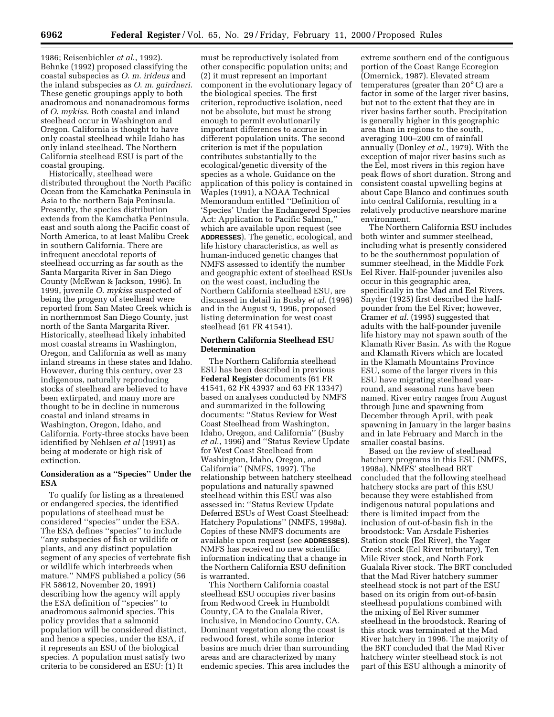1986; Reisenbichler *et al*., 1992). Behnke (1992) proposed classifying the coastal subspecies as *O*. *m*. *irideus* and the inland subspecies as *O*. *m*. *gairdneri*. These genetic groupings apply to both anadromous and nonanadromous forms of *O*. *mykiss*. Both coastal and inland steelhead occur in Washington and Oregon. California is thought to have only coastal steelhead while Idaho has only inland steelhead. The Northern California steelhead ESU is part of the coastal grouping.

Historically, steelhead were distributed throughout the North Pacific Ocean from the Kamchatka Peninsula in Asia to the northern Baja Peninsula. Presently, the species distribution extends from the Kamchatka Peninsula, east and south along the Pacific coast of North America, to at least Malibu Creek in southern California. There are infrequent anecdotal reports of steelhead occurring as far south as the Santa Margarita River in San Diego County (McEwan & Jackson, 1996). In 1999, juvenile *O*. *mykiss* suspected of being the progeny of steelhead were reported from San Mateo Creek which is in northernmost San Diego County, just north of the Santa Margarita River. Historically, steelhead likely inhabited most coastal streams in Washington, Oregon, and California as well as many inland streams in these states and Idaho. However, during this century, over 23 indigenous, naturally reproducing stocks of steelhead are believed to have been extirpated, and many more are thought to be in decline in numerous coastal and inland streams in Washington, Oregon, Idaho, and California. Forty-three stocks have been identified by Nehlsen *et al* (1991) as being at moderate or high risk of extinction.

# **Consideration as a ''Species'' Under the ESA**

To qualify for listing as a threatened or endangered species, the identified populations of steelhead must be considered ''species'' under the ESA. The ESA defines ''species'' to include ''any subspecies of fish or wildlife or plants, and any distinct population segment of any species of vertebrate fish or wildlife which interbreeds when mature.'' NMFS published a policy (56 FR 58612, November 20, 1991) describing how the agency will apply the ESA definition of ''species'' to anadromous salmonid species. This policy provides that a salmonid population will be considered distinct, and hence a species, under the ESA, if it represents an ESU of the biological species. A population must satisfy two criteria to be considered an ESU: (1) It

must be reproductively isolated from other conspecific population units; and (2) it must represent an important component in the evolutionary legacy of the biological species. The first criterion, reproductive isolation, need not be absolute, but must be strong enough to permit evolutionarily important differences to accrue in different population units. The second criterion is met if the population contributes substantially to the ecological/genetic diversity of the species as a whole. Guidance on the application of this policy is contained in Waples (1991), a NOAA Technical Memorandum entitled ''Definition of 'Species' Under the Endangered Species Act: Application to Pacific Salmon,'' which are available upon request (see **ADDRESSES**). The genetic, ecological, and life history characteristics, as well as human-induced genetic changes that NMFS assessed to identify the number and geographic extent of steelhead ESUs on the west coast, including the Northern California steelhead ESU, are discussed in detail in Busby *et al*. (1996) and in the August 9, 1996, proposed listing determination for west coast steelhead (61 FR 41541).

# **Northern California Steelhead ESU Determination**

The Northern California steelhead ESU has been described in previous **Federal Register** documents (61 FR 41541, 62 FR 43937 and 63 FR 13347) based on analyses conducted by NMFS and summarized in the following documents: ''Status Review for West Coast Steelhead from Washington, Idaho, Oregon, and California'' (Busby *et al*., 1996) and ''Status Review Update for West Coast Steelhead from Washington, Idaho, Oregon, and California'' (NMFS, 1997). The relationship between hatchery steelhead populations and naturally spawned steelhead within this ESU was also assessed in: ''Status Review Update Deferred ESUs of West Coast Steelhead: Hatchery Populations'' (NMFS, 1998a). Copies of these NMFS documents are available upon request (see **ADDRESSES**). NMFS has received no new scientific information indicating that a change in the Northern California ESU definition is warranted.

This Northern California coastal steelhead ESU occupies river basins from Redwood Creek in Humboldt County, CA to the Gualala River, inclusive, in Mendocino County, CA. Dominant vegetation along the coast is redwood forest, while some interior basins are much drier than surrounding areas and are characterized by many endemic species. This area includes the

extreme southern end of the contiguous portion of the Coast Range Ecoregion (Omernick, 1987). Elevated stream temperatures (greater than 20° C) are a factor in some of the larger river basins, but not to the extent that they are in river basins farther south. Precipitation is generally higher in this geographic area than in regions to the south, averaging 100–200 cm of rainfall annually (Donley *et al*., 1979). With the exception of major river basins such as the Eel, most rivers in this region have peak flows of short duration. Strong and consistent coastal upwelling begins at about Cape Blanco and continues south into central California, resulting in a relatively productive nearshore marine environment.

The Northern California ESU includes both winter and summer steelhead, including what is presently considered to be the southernmost population of summer steelhead, in the Middle Fork Eel River. Half-pounder juveniles also occur in this geographic area, specifically in the Mad and Eel Rivers. Snyder (1925) first described the halfpounder from the Eel River; however, Cramer *et al*. (1995) suggested that adults with the half-pounder juvenile life history may not spawn south of the Klamath River Basin. As with the Rogue and Klamath Rivers which are located in the Klamath Mountains Province ESU, some of the larger rivers in this ESU have migrating steelhead yearround, and seasonal runs have been named. River entry ranges from August through June and spawning from December through April, with peak spawning in January in the larger basins and in late February and March in the smaller coastal basins.

Based on the review of steelhead hatchery programs in this ESU (NMFS, 1998a), NMFS' steelhead BRT concluded that the following steelhead hatchery stocks are part of this ESU because they were established from indigenous natural populations and there is limited impact from the inclusion of out-of-basin fish in the broodstock: Van Arsdale Fisheries Station stock (Eel River), the Yager Creek stock (Eel River tributary), Ten Mile River stock, and North Fork Gualala River stock. The BRT concluded that the Mad River hatchery summer steelhead stock is not part of the ESU based on its origin from out-of-basin steelhead populations combined with the mixing of Eel River summer steelhead in the broodstock. Rearing of this stock was terminated at the Mad River hatchery in 1996. The majority of the BRT concluded that the Mad River hatchery winter steelhead stock is not part of this ESU although a minority of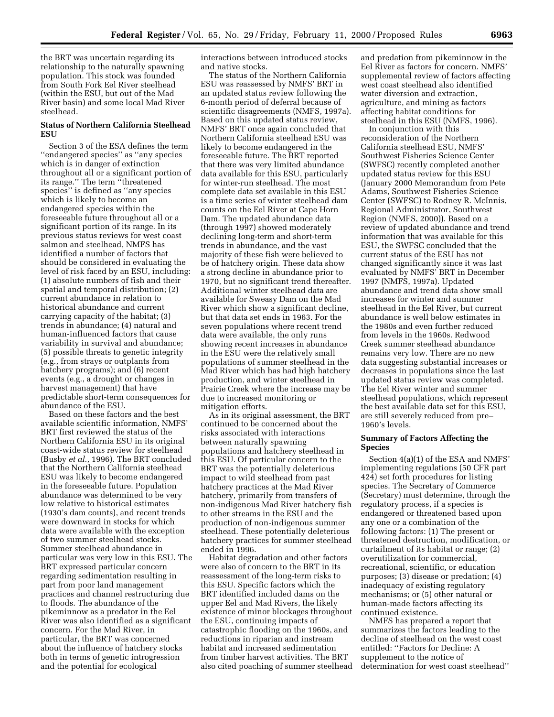the BRT was uncertain regarding its relationship to the naturally spawning population. This stock was founded from South Fork Eel River steelhead (within the ESU, but out of the Mad River basin) and some local Mad River steelhead.

# **Status of Northern California Steelhead ESU**

Section 3 of the ESA defines the term ''endangered species'' as ''any species which is in danger of extinction throughout all or a significant portion of its range.'' The term ''threatened species'' is defined as ''any species which is likely to become an endangered species within the foreseeable future throughout all or a significant portion of its range. In its previous status reviews for west coast salmon and steelhead, NMFS has identified a number of factors that should be considered in evaluating the level of risk faced by an ESU, including: (1) absolute numbers of fish and their spatial and temporal distribution; (2) current abundance in relation to historical abundance and current carrying capacity of the habitat; (3) trends in abundance; (4) natural and human-influenced factors that cause variability in survival and abundance; (5) possible threats to genetic integrity (e.g., from strays or outplants from hatchery programs); and (6) recent events (e.g., a drought or changes in harvest management) that have predictable short-term consequences for abundance of the ESU.

Based on these factors and the best available scientific information, NMFS' BRT first reviewed the status of the Northern California ESU in its original coast-wide status review for steelhead (Busby *et al*., 1996). The BRT concluded that the Northern California steelhead ESU was likely to become endangered in the foreseeable future. Population abundance was determined to be very low relative to historical estimates (1930's dam counts), and recent trends were downward in stocks for which data were available with the exception of two summer steelhead stocks. Summer steelhead abundance in particular was very low in this ESU. The BRT expressed particular concern regarding sedimentation resulting in part from poor land management practices and channel restructuring due to floods. The abundance of the pikeminnow as a predator in the Eel River was also identified as a significant concern. For the Mad River, in particular, the BRT was concerned about the influence of hatchery stocks both in terms of genetic introgression and the potential for ecological

interactions between introduced stocks and native stocks.

The status of the Northern California ESU was reassessed by NMFS' BRT in an updated status review following the 6-month period of deferral because of scientific disagreements (NMFS, 1997a). Based on this updated status review, NMFS' BRT once again concluded that Northern California steelhead ESU was likely to become endangered in the foreseeable future. The BRT reported that there was very limited abundance data available for this ESU, particularly for winter-run steelhead. The most complete data set available in this ESU is a time series of winter steelhead dam counts on the Eel River at Cape Horn Dam. The updated abundance data (through 1997) showed moderately declining long-term and short-term trends in abundance, and the vast majority of these fish were believed to be of hatchery origin. These data show a strong decline in abundance prior to 1970, but no significant trend thereafter. Additional winter steelhead data are available for Sweasy Dam on the Mad River which show a significant decline, but that data set ends in 1963. For the seven populations where recent trend data were available, the only runs showing recent increases in abundance in the ESU were the relatively small populations of summer steelhead in the Mad River which has had high hatchery production, and winter steelhead in Prairie Creek where the increase may be due to increased monitoring or mitigation efforts.

As in its original assessment, the BRT continued to be concerned about the risks associated with interactions between naturally spawning populations and hatchery steelhead in this ESU. Of particular concern to the BRT was the potentially deleterious impact to wild steelhead from past hatchery practices at the Mad River hatchery, primarily from transfers of non-indigenous Mad River hatchery fish to other streams in the ESU and the production of non-indigenous summer steelhead. These potentially deleterious hatchery practices for summer steelhead ended in 1996.

Habitat degradation and other factors were also of concern to the BRT in its reassessment of the long-term risks to this ESU. Specific factors which the BRT identified included dams on the upper Eel and Mad Rivers, the likely existence of minor blockages throughout the ESU, continuing impacts of catastrophic flooding on the 1960s, and reductions in riparian and instream habitat and increased sedimentation from timber harvest activities. The BRT also cited poaching of summer steelhead

and predation from pikeminnow in the Eel River as factors for concern. NMFS' supplemental review of factors affecting west coast steelhead also identified water diversion and extraction, agriculture, and mining as factors affecting habitat conditions for steelhead in this ESU (NMFS, 1996).

In conjunction with this reconsideration of the Northern California steelhead ESU, NMFS' Southwest Fisheries Science Center (SWFSC) recently completed another updated status review for this ESU (January 2000 Memorandum from Pete Adams, Southwest Fisheries Science Center (SWFSC) to Rodney R. McInnis, Regional Administrator, Southwest Region (NMFS, 2000)). Based on a review of updated abundance and trend information that was available for this ESU, the SWFSC concluded that the current status of the ESU has not changed significantly since it was last evaluated by NMFS' BRT in December 1997 (NMFS, 1997a). Updated abundance and trend data show small increases for winter and summer steelhead in the Eel River, but current abundance is well below estimates in the 1980s and even further reduced from levels in the 1960s. Redwood Creek summer steelhead abundance remains very low. There are no new data suggesting substantial increases or decreases in populations since the last updated status review was completed. The Eel River winter and summer steelhead populations, which represent the best available data set for this ESU, are still severely reduced from pre– 1960's levels.

## **Summary of Factors Affecting the Species**

Section 4(a)(1) of the ESA and NMFS' implementing regulations (50 CFR part 424) set forth procedures for listing species. The Secretary of Commerce (Secretary) must determine, through the regulatory process, if a species is endangered or threatened based upon any one or a combination of the following factors: (1) The present or threatened destruction, modification, or curtailment of its habitat or range; (2) overutilization for commercial, recreational, scientific, or education purposes; (3) disease or predation; (4) inadequacy of existing regulatory mechanisms; or (5) other natural or human-made factors affecting its continued existence.

NMFS has prepared a report that summarizes the factors leading to the decline of steelhead on the west coast entitled: ''Factors for Decline: A supplement to the notice of determination for west coast steelhead''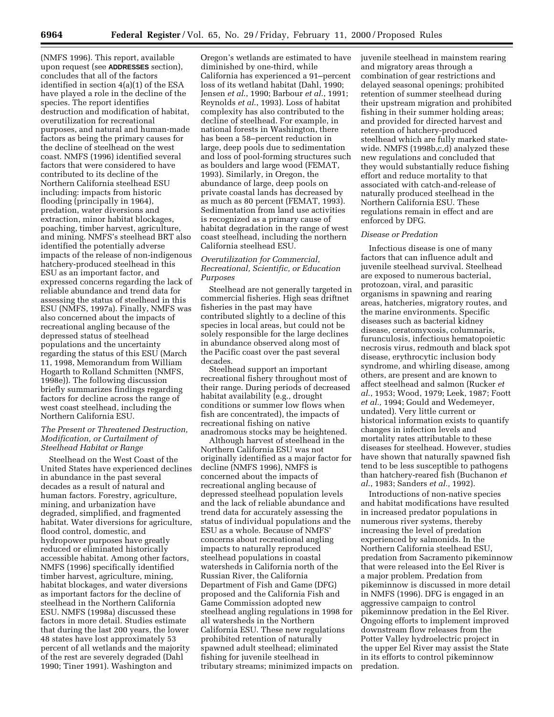(NMFS 1996). This report, available upon request (see **ADDRESSES** section), concludes that all of the factors identified in section 4(a)(1) of the ESA have played a role in the decline of the species. The report identifies destruction and modification of habitat, overutilization for recreational purposes, and natural and human-made factors as being the primary causes for the decline of steelhead on the west coast. NMFS (1996) identified several factors that were considered to have contributed to its decline of the Northern California steelhead ESU including: impacts from historic flooding (principally in 1964), predation, water diversions and extraction, minor habitat blockages, poaching, timber harvest, agriculture, and mining. NMFS's steelhead BRT also identified the potentially adverse impacts of the release of non-indigenous hatchery-produced steelhead in this ESU as an important factor, and expressed concerns regarding the lack of reliable abundance and trend data for assessing the status of steelhead in this ESU (NMFS, 1997a). Finally, NMFS was also concerned about the impacts of recreational angling because of the depressed status of steelhead populations and the uncertainty regarding the status of this ESU (March 11, 1998, Memorandum from William Hogarth to Rolland Schmitten (NMFS, 1998e)). The following discussion briefly summarizes findings regarding factors for decline across the range of west coast steelhead, including the Northern California ESU.

### *The Present or Threatened Destruction, Modification, or Curtailment of Steelhead Habitat or Range*

Steelhead on the West Coast of the United States have experienced declines in abundance in the past several decades as a result of natural and human factors. Forestry, agriculture, mining, and urbanization have degraded, simplified, and fragmented habitat. Water diversions for agriculture, flood control, domestic, and hydropower purposes have greatly reduced or eliminated historically accessible habitat. Among other factors, NMFS (1996) specifically identified timber harvest, agriculture, mining, habitat blockages, and water diversions as important factors for the decline of steelhead in the Northern California ESU. NMFS (1998a) discussed these factors in more detail. Studies estimate that during the last 200 years, the lower 48 states have lost approximately 53 percent of all wetlands and the majority of the rest are severely degraded (Dahl 1990; Tiner 1991). Washington and

Oregon's wetlands are estimated to have diminished by one-third, while California has experienced a 91–percent loss of its wetland habitat (Dahl, 1990; Jensen *et al*., 1990; Barbour *et al*., 1991; Reynolds *et al*., 1993). Loss of habitat complexity has also contributed to the decline of steelhead. For example, in national forests in Washington, there has been a 58–percent reduction in large, deep pools due to sedimentation and loss of pool-forming structures such as boulders and large wood (FEMAT, 1993). Similarly, in Oregon, the abundance of large, deep pools on private coastal lands has decreased by as much as 80 percent (FEMAT, 1993). Sedimentation from land use activities is recognized as a primary cause of habitat degradation in the range of west coast steelhead, including the northern California steelhead ESU.

# *Overutilization for Commercial, Recreational, Scientific, or Education Purposes*

Steelhead are not generally targeted in commercial fisheries. High seas driftnet fisheries in the past may have contributed slightly to a decline of this species in local areas, but could not be solely responsible for the large declines in abundance observed along most of the Pacific coast over the past several decades.

Steelhead support an important recreational fishery throughout most of their range. During periods of decreased habitat availability (e.g., drought conditions or summer low flows when fish are concentrated), the impacts of recreational fishing on native anadromous stocks may be heightened.

Although harvest of steelhead in the Northern California ESU was not originally identified as a major factor for decline (NMFS 1996), NMFS is concerned about the impacts of recreational angling because of depressed steelhead population levels and the lack of reliable abundance and trend data for accurately assessing the status of individual populations and the ESU as a whole. Because of NMFS' concerns about recreational angling impacts to naturally reproduced steelhead populations in coastal watersheds in California north of the Russian River, the California Department of Fish and Game (DFG) proposed and the California Fish and Game Commission adopted new steelhead angling regulations in 1998 for all watersheds in the Northern California ESU. These new regulations prohibited retention of naturally spawned adult steelhead; eliminated fishing for juvenile steelhead in tributary streams; minimized impacts on

juvenile steelhead in mainstem rearing and migratory areas through a combination of gear restrictions and delayed seasonal openings; prohibited retention of summer steelhead during their upstream migration and prohibited fishing in their summer holding areas; and provided for directed harvest and retention of hatchery-produced steelhead which are fully marked statewide. NMFS (1998b,c,d) analyzed these new regulations and concluded that they would substantially reduce fishing effort and reduce mortality to that associated with catch-and-release of naturally produced steelhead in the Northern California ESU. These regulations remain in effect and are enforced by DFG.

#### *Disease or Predation*

Infectious disease is one of many factors that can influence adult and juvenile steelhead survival. Steelhead are exposed to numerous bacterial, protozoan, viral, and parasitic organisms in spawning and rearing areas, hatcheries, migratory routes, and the marine environments. Specific diseases such as bacterial kidney disease, ceratomyxosis, columnaris, furunculosis, infectious hematopoietic necrosis virus, redmouth and black spot disease, erythrocytic inclusion body syndrome, and whirling disease, among others, are present and are known to affect steelhead and salmon (Rucker *et al*., 1953; Wood, 1979; Leek, 1987; Foott *et al.,* 1994; Gould and Wedemeyer, undated). Very little current or historical information exists to quantify changes in infection levels and mortality rates attributable to these diseases for steelhead. However, studies have shown that naturally spawned fish tend to be less susceptible to pathogens than hatchery-reared fish (Buchanon *et al*., 1983; Sanders *et al.,* 1992).

Introductions of non-native species and habitat modifications have resulted in increased predator populations in numerous river systems, thereby increasing the level of predation experienced by salmonids. In the Northern California steelhead ESU, predation from Sacramento pikeminnow that were released into the Eel River is a major problem. Predation from pikeminnow is discussed in more detail in NMFS (1996). DFG is engaged in an aggressive campaign to control pikeminnow predation in the Eel River. Ongoing efforts to implement improved downstream flow releases from the Potter Valley hydroelectric project in the upper Eel River may assist the State in its efforts to control pikeminnow predation.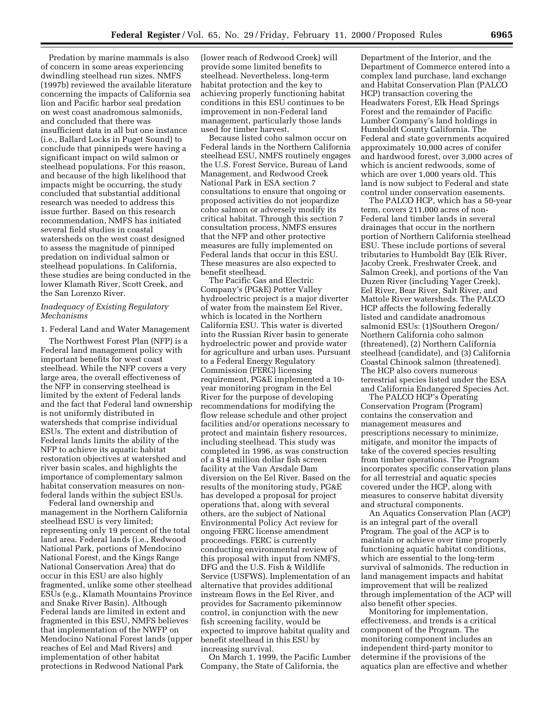Predation by marine mammals is also of concern in some areas experiencing dwindling steelhead run sizes. NMFS (1997b) reviewed the available literature concerning the impacts of California sea lion and Pacific harbor seal predation on west coast anadromous salmonids, and concluded that there was insufficient data in all but one instance (i.e., Ballard Locks in Puget Sound) to conclude that pinnipeds were having a significant impact on wild salmon or steelhead populations. For this reason, and because of the high likelihood that impacts might be occurring, the study concluded that substantial additional research was needed to address this issue further. Based on this research recommendation, NMFS has initiated several field studies in coastal watersheds on the west coast designed to assess the magnitude of pinniped predation on individual salmon or steelhead populations. In California, these studies are being conducted in the lower Klamath River, Scott Creek, and the San Lorenzo River.

### *Inadequacy of Existing Regulatory Mechanisms*

1. Federal Land and Water Management

The Northwest Forest Plan (NFP) is a Federal land management policy with important benefits for west coast steelhead. While the NFP covers a very large area, the overall effectiveness of the NFP in conserving steelhead is limited by the extent of Federal lands and the fact that Federal land ownership is not uniformly distributed in watersheds that comprise individual ESUs. The extent and distribution of Federal lands limits the ability of the NFP to achieve its aquatic habitat restoration objectives at watershed and river basin scales, and highlights the importance of complementary salmon habitat conservation measures on nonfederal lands within the subject ESUs.

Federal land ownership and management in the Northern California steelhead ESU is very limited; representing only 19 percent of the total land area. Federal lands (i.e., Redwood National Park, portions of Mendocino National Forest, and the Kings Range National Conservation Area) that do occur in this ESU are also highly fragmented, unlike some other steelhead ESUs (e.g., Klamath Mountains Province and Snake River Basin). Although Federal lands are limited in extent and fragmented in this ESU, NMFS believes that implementation of the NWFP on Mendocino National Forest lands (upper reaches of Eel and Mad Rivers) and implementation of other habitat protections in Redwood National Park

(lower reach of Redwood Creek) will provide some limited benefits to steelhead. Nevertheless, long-term habitat protection and the key to achieving properly functioning habitat conditions in this ESU continues to be improvement in non-Federal land management, particularly those lands used for timber harvest.

Because listed coho salmon occur on Federal lands in the Northern California steelhead ESU, NMFS routinely engages the U.S. Forest Service, Bureau of Land Management, and Redwood Creek National Park in ESA section 7 consultations to ensure that ongoing or proposed activities do not jeopardize coho salmon or adversely modify its critical habitat. Through this section 7 consultation process, NMFS ensures that the NFP and other protective measures are fully implemented on Federal lands that occur in this ESU. These measures are also expected to benefit steelhead.

The Pacific Gas and Electric Company's (PG&E) Potter Valley hydroelectric project is a major diverter of water from the mainstem Eel River, which is located in the Northern California ESU. This water is diverted into the Russian River basin to generate hydroelectric power and provide water for agriculture and urban uses. Pursuant to a Federal Energy Regulatory Commission (FERC) licensing requirement, PG&E implemented a 10 year monitoring program in the Eel River for the purpose of developing recommendations for modifying the flow release schedule and other project facilities and/or operations necessary to protect and maintain fishery resources, including steelhead. This study was completed in 1996, as was construction of a \$14 million dollar fish screen facility at the Van Arsdale Dam diversion on the Eel River. Based on the results of the monitoring study, PG&E has developed a proposal for project operations that, along with several others, are the subject of National Environmental Policy Act review for ongoing FERC license amendment proceedings. FERC is currently conducting environmental review of this proposal with input from NMFS, DFG and the U.S. Fish & Wildlife Service (USFWS). Implementation of an alternative that provides additional instream flows in the Eel River, and provides for Sacramento pikeminnow control, in conjunction with the new fish screening facility, would be expected to improve habitat quality and benefit steelhead in this ESU by increasing survival.

On March 1, 1999, the Pacific Lumber Company, the State of California, the

Department of the Interior, and the Department of Commerce entered into a complex land purchase, land exchange and Habitat Conservation Plan (PALCO HCP) transaction covering the Headwaters Forest, Elk Head Springs Forest and the remainder of Pacific Lumber Company's land holdings in Humboldt County California. The Federal and state governments acquired approximately 10,000 acres of conifer and hardwood forest, over 3,000 acres of which is ancient redwoods, some of which are over 1,000 years old. This land is now subject to Federal and state control under conservation easements.

The PALCO HCP, which has a 50-year term, covers 211,000 acres of non-Federal land timber lands in several drainages that occur in the northern portion of Northern California steelhead ESU. These include portions of several tributaries to Humboldt Bay (Elk River, Jacoby Creek, Freshwater Creek, and Salmon Creek), and portions of the Van Duzen River (including Yager Creek), Eel River, Bear River, Salt River, and Mattole River watersheds. The PALCO HCP affects the following federally listed and candidate anadromous salmonid ESUs: (1)Southern Oregon/ Northern California coho salmon (threatened), (2) Northern California steelhead (candidate), and (3) California Coastal Chinook salmon (threatened). The HCP also covers numerous terrestrial species listed under the ESA and California Endangered Species Act.

The PALCO HCP's Operating Conservation Program (Program) contains the conservation and management measures and prescriptions necessary to minimize, mitigate, and monitor the impacts of take of the covered species resulting from timber operations. The Program incorporates specific conservation plans for all terrestrial and aquatic species covered under the HCP, along with measures to conserve habitat diversity and structural components.

An Aquatics Conservation Plan (ACP) is an integral part of the overall Program. The goal of the ACP is to maintain or achieve over time properly functioning aquatic habitat conditions, which are essential to the long-term survival of salmonids. The reduction in land management impacts and habitat improvement that will be realized through implementation of the ACP will also benefit other species.

Monitoring for implementation, effectiveness, and trends is a critical component of the Program. The monitoring component includes an independent third-party monitor to determine if the provisions of the aquatics plan are effective and whether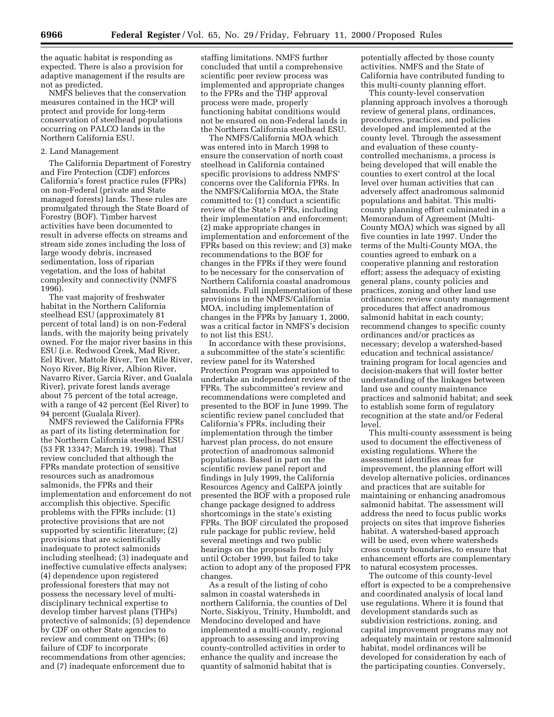the aquatic habitat is responding as expected. There is also a provision for adaptive management if the results are not as predicted.

NMFS believes that the conservation measures contained in the HCP will protect and provide for long-term conservation of steelhead populations occurring on PALCO lands in the Northern California ESU.

#### 2. Land Management

The California Department of Forestry and Fire Protection (CDF) enforces California's forest practice rules (FPRs) on non-Federal (private and State managed forests) lands. These rules are promulgated through the State Board of Forestry (BOF). Timber harvest activities have been documented to result in adverse effects on streams and stream side zones including the loss of large woody debris, increased sedimentation, loss of riparian vegetation, and the loss of habitat complexity and connectivity (NMFS 1996).

The vast majority of freshwater habitat in the Northern California steelhead ESU (approximately 81 percent of total land) is on non-Federal lands, with the majority being privately owned. For the major river basins in this ESU (i.e. Redwood Creek, Mad River, Eel River, Mattole River, Ten Mile River, Noyo River, Big River, Albion River, Navarro River, Garcia River, and Gualala River), private forest lands average about 75 percent of the total acreage, with a range of 42 percent (Eel River) to 94 percent (Gualala River).

NMFS reviewed the California FPRs as part of its listing determination for the Northern California steelhead ESU (53 FR 13347; March 19, 1998). That review concluded that although the FPRs mandate protection of sensitive resources such as anadromous salmonids, the FPRs and their implementation and enforcement do not accomplish this objective. Specific problems with the FPRs include: (1) protective provisions that are not supported by scientific literature; (2) provisions that are scientifically inadequate to protect salmonids including steelhead; (3) inadequate and ineffective cumulative effects analyses; (4) dependence upon registered professional foresters that may not possess the necessary level of multidisciplinary technical expertise to develop timber harvest plans (THPs) protective of salmonids; (5) dependence by CDF on other State agencies to review and comment on THPs; (6) failure of CDF to incorporate recommendations from other agencies; and (7) inadequate enforcement due to

staffing limitations. NMFS further concluded that until a comprehensive scientific peer review process was implemented and appropriate changes to the FPRs and the THP approval process were made, properly functioning habitat conditions would not be ensured on non-Federal lands in the Northern California steelhead ESU.

The NMFS/California MOA which was entered into in March 1998 to ensure the conservation of north coast steelhead in California contained specific provisions to address NMFS' concerns over the California FPRs. In the NMFS/California MOA, the State committed to: (1) conduct a scientific review of the State's FPRs, including their implementation and enforcement; (2) make appropriate changes in implementation and enforcement of the FPRs based on this review; and (3) make recommendations to the BOF for changes in the FPRs if they were found to be necessary for the conservation of Northern California coastal anadromous salmonids. Full implementation of these provisions in the NMFS/California MOA, including implementation of changes in the FPRs by January 1, 2000, was a critical factor in NMFS's decision to not list this ESU.

In accordance with these provisions, a subcommittee of the state's scientific review panel for its Watershed Protection Program was appointed to undertake an independent review of the FPRs. The subcommittee's review and recommendations were completed and presented to the BOF in June 1999. The scientific review panel concluded that California's FPRs, including their implementation through the timber harvest plan process, do not ensure protection of anadromous salmonid populations. Based in part on the scientific review panel report and findings in July 1999, the California Resources Agency and CalEPA jointly presented the BOF with a proposed rule change package designed to address shortcomings in the state's existing FPRs. The BOF circulated the proposed rule package for public review, held several meetings and two public hearings on the proposals from July until October 1999, but failed to take action to adopt any of the proposed FPR changes.

As a result of the listing of coho salmon in coastal watersheds in northern California, the counties of Del Norte, Siskiyou, Trinity, Humboldt, and Mendocino developed and have implemented a multi-county, regional approach to assessing and improving county-controlled activities in order to enhance the quality and increase the quantity of salmonid habitat that is

potentially affected by those county activities. NMFS and the State of California have contributed funding to this multi-county planning effort.

This county-level conservation planning approach involves a thorough review of general plans, ordinances, procedures, practices, and policies developed and implemented at the county level. Through the assessment and evaluation of these countycontrolled mechanisms, a process is being developed that will enable the counties to exert control at the local level over human activities that can adversely affect anadromous salmonid populations and habitat. This multicounty planning effort culminated in a Memorandum of Agreement (Multi-County MOA) which was signed by all five counties in late 1997. Under the terms of the Multi-County MOA, the counties agreed to embark on a cooperative planning and restoration effort; assess the adequacy of existing general plans, county policies and practices, zoning and other land use ordinances; review county management procedures that affect anadromous salmonid habitat in each county; recommend changes to specific county ordinances and/or practices as necessary; develop a watershed-based education and technical assistance/ training program for local agencies and decision-makers that will foster better understanding of the linkages between land use and county maintenance practices and salmonid habitat; and seek to establish some form of regulatory recognition at the state and/or Federal level.

This multi-county assessment is being used to document the effectiveness of existing regulations. Where the assessment identifies areas for improvement, the planning effort will develop alternative policies, ordinances and practices that are suitable for maintaining or enhancing anadromous salmonid habitat. The assessment will address the need to focus public works projects on sites that improve fisheries habitat. A watershed-based approach will be used, even where watersheds cross county boundaries, to ensure that enhancement efforts are complementary to natural ecosystem processes.

The outcome of this county-level effort is expected to be a comprehensive and coordinated analysis of local land use regulations. Where it is found that development standards such as subdivision restrictions, zoning, and capital improvement programs may not adequately maintain or restore salmonid habitat, model ordinances will be developed for consideration by each of the participating counties. Conversely,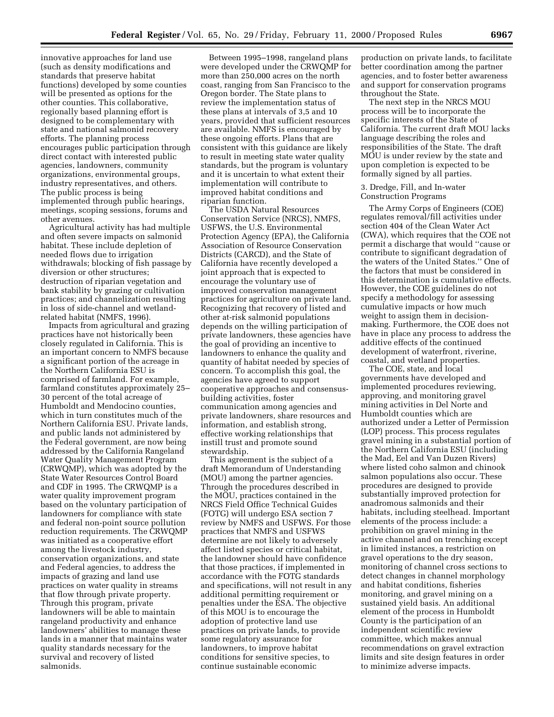innovative approaches for land use (such as density modifications and standards that preserve habitat functions) developed by some counties will be presented as options for the other counties. This collaborative, regionally based planning effort is designed to be complementary with state and national salmonid recovery efforts. The planning process encourages public participation through direct contact with interested public agencies, landowners, community organizations, environmental groups, industry representatives, and others. The public process is being implemented through public hearings, meetings, scoping sessions, forums and other avenues.

Agricultural activity has had multiple and often severe impacts on salmonid habitat. These include depletion of needed flows due to irrigation withdrawals; blocking of fish passage by diversion or other structures; destruction of riparian vegetation and bank stability by grazing or cultivation practices; and channelization resulting in loss of side-channel and wetlandrelated habitat (NMFS, 1996).

Impacts from agricultural and grazing practices have not historically been closely regulated in California. This is an important concern to NMFS because a significant portion of the acreage in the Northern California ESU is comprised of farmland. For example, farmland constitutes approximately 25– 30 percent of the total acreage of Humboldt and Mendocino counties, which in turn constitutes much of the Northern California ESU. Private lands, and public lands not administered by the Federal government, are now being addressed by the California Rangeland Water Quality Management Program (CRWQMP), which was adopted by the State Water Resources Control Board and CDF in 1995. The CRWQMP is a water quality improvement program based on the voluntary participation of landowners for compliance with state and federal non-point source pollution reduction requirements. The CRWQMP was initiated as a cooperative effort among the livestock industry, conservation organizations, and state and Federal agencies, to address the impacts of grazing and land use practices on water quality in streams that flow through private property. Through this program, private landowners will be able to maintain rangeland productivity and enhance landowners' abilities to manage these lands in a manner that maintains water quality standards necessary for the survival and recovery of listed salmonids.

Between 1995–1998, rangeland plans were developed under the CRWQMP for more than 250,000 acres on the north coast, ranging from San Francisco to the Oregon border. The State plans to review the implementation status of these plans at intervals of 3,5 and 10 years, provided that sufficient resources are available. NMFS is encouraged by these ongoing efforts. Plans that are consistent with this guidance are likely to result in meeting state water quality standards, but the program is voluntary and it is uncertain to what extent their implementation will contribute to improved habitat conditions and riparian function.

The USDA Natural Resources Conservation Service (NRCS), NMFS, USFWS, the U.S. Environmental Protection Agency (EPA), the California Association of Resource Conservation Districts (CARCD), and the State of California have recently developed a joint approach that is expected to encourage the voluntary use of improved conservation management practices for agriculture on private land. Recognizing that recovery of listed and other at-risk salmonid populations depends on the willing participation of private landowners, these agencies have the goal of providing an incentive to landowners to enhance the quality and quantity of habitat needed by species of concern. To accomplish this goal, the agencies have agreed to support cooperative approaches and consensusbuilding activities, foster communication among agencies and private landowners, share resources and information, and establish strong, effective working relationships that instill trust and promote sound stewardship.

This agreement is the subject of a draft Memorandum of Understanding (MOU) among the partner agencies. Through the procedures described in the MOU, practices contained in the NRCS Field Office Technical Guides (FOTG) will undergo ESA section 7 review by NMFS and USFWS. For those practices that NMFS and USFWS determine are not likely to adversely affect listed species or critical habitat, the landowner should have confidence that those practices, if implemented in accordance with the FOTG standards and specifications, will not result in any additional permitting requirement or penalties under the ESA. The objective of this MOU is to encourage the adoption of protective land use practices on private lands, to provide some regulatory assurance for landowners, to improve habitat conditions for sensitive species, to continue sustainable economic

production on private lands, to facilitate better coordination among the partner agencies, and to foster better awareness and support for conservation programs throughout the State.

The next step in the NRCS MOU process will be to incorporate the specific interests of the State of California. The current draft MOU lacks language describing the roles and responsibilities of the State. The draft MOU is under review by the state and upon completion is expected to be formally signed by all parties.

3. Dredge, Fill, and In-water Construction Programs

The Army Corps of Engineers (COE) regulates removal/fill activities under section 404 of the Clean Water Act (CWA), which requires that the COE not permit a discharge that would ''cause or contribute to significant degradation of the waters of the United States.'' One of the factors that must be considered in this determination is cumulative effects. However, the COE guidelines do not specify a methodology for assessing cumulative impacts or how much weight to assign them in decisionmaking. Furthermore, the COE does not have in place any process to address the additive effects of the continued development of waterfront, riverine, coastal, and wetland properties.

The COE, state, and local governments have developed and implemented procedures reviewing, approving, and monitoring gravel mining activities in Del Norte and Humboldt counties which are authorized under a Letter of Permission (LOP) process. This process regulates gravel mining in a substantial portion of the Northern California ESU (including the Mad, Eel and Van Duzen Rivers) where listed coho salmon and chinook salmon populations also occur. These procedures are designed to provide substantially improved protection for anadromous salmonids and their habitats, including steelhead. Important elements of the process include: a prohibition on gravel mining in the active channel and on trenching except in limited instances, a restriction on gravel operations to the dry season, monitoring of channel cross sections to detect changes in channel morphology and habitat conditions, fisheries monitoring, and gravel mining on a sustained yield basis. An additional element of the process in Humboldt County is the participation of an independent scientific review committee, which makes annual recommendations on gravel extraction limits and site design features in order to minimize adverse impacts.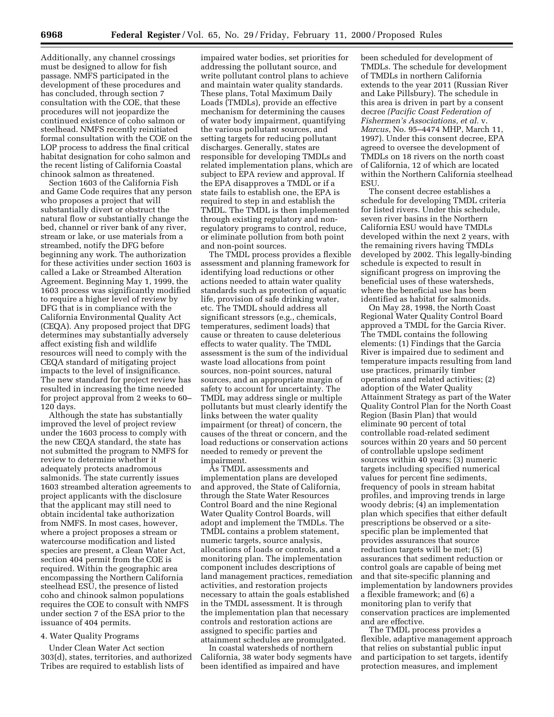Additionally, any channel crossings must be designed to allow for fish passage. NMFS participated in the development of these procedures and has concluded, through section 7 consultation with the COE, that these procedures will not jeopardize the continued existence of coho salmon or steelhead. NMFS recently reinitiated formal consultation with the COE on the LOP process to address the final critical habitat designation for coho salmon and the recent listing of California Coastal chinook salmon as threatened.

Section 1603 of the California Fish and Game Code requires that any person who proposes a project that will substantially divert or obstruct the natural flow or substantially change the bed, channel or river bank of any river, stream or lake, or use materials from a streambed, notify the DFG before beginning any work. The authorization for these activities under section 1603 is called a Lake or Streambed Alteration Agreement. Beginning May 1, 1999, the 1603 process was significantly modified to require a higher level of review by DFG that is in compliance with the California Environmental Quality Act (CEQA). Any proposed project that DFG determines may substantially adversely affect existing fish and wildlife resources will need to comply with the CEQA standard of mitigating project impacts to the level of insignificance. The new standard for project review has resulted in increasing the time needed for project approval from 2 weeks to 60– 120 days.

Although the state has substantially improved the level of project review under the 1603 process to comply with the new CEQA standard, the state has not submitted the program to NMFS for review to determine whether it adequately protects anadromous salmonids. The state currently issues 1603 streambed alteration agreements to project applicants with the disclosure that the applicant may still need to obtain incidental take authorization from NMFS. In most cases, however, where a project proposes a stream or watercourse modification and listed species are present, a Clean Water Act, section 404 permit from the COE is required. Within the geographic area encompassing the Northern California steelhead ESU, the presence of listed coho and chinook salmon populations requires the COE to consult with NMFS under section 7 of the ESA prior to the issuance of 404 permits.

## 4. Water Quality Programs

Under Clean Water Act section 303(d), states, territories, and authorized Tribes are required to establish lists of

impaired water bodies, set priorities for addressing the pollutant source, and write pollutant control plans to achieve and maintain water quality standards. These plans, Total Maximum Daily Loads (TMDLs), provide an effective mechanism for determining the causes of water body impairment, quantifying the various pollutant sources, and setting targets for reducing pollutant discharges. Generally, states are responsible for developing TMDLs and related implementation plans, which are subject to EPA review and approval. If the EPA disapproves a TMDL or if a state fails to establish one, the EPA is required to step in and establish the TMDL. The TMDL is then implemented through existing regulatory and nonregulatory programs to control, reduce, or eliminate pollution from both point and non-point sources.

The TMDL process provides a flexible assessment and planning framework for identifying load reductions or other actions needed to attain water quality standards such as protection of aquatic life, provision of safe drinking water, etc. The TMDL should address all significant stressors (e.g., chemicals, temperatures, sediment loads) that cause or threaten to cause deleterious effects to water quality. The TMDL assessment is the sum of the individual waste load allocations from point sources, non-point sources, natural sources, and an appropriate margin of safety to account for uncertainty. The TMDL may address single or multiple pollutants but must clearly identify the links between the water quality impairment (or threat) of concern, the causes of the threat or concern, and the load reductions or conservation actions needed to remedy or prevent the impairment.

As TMDL assessments and implementation plans are developed and approved, the State of California, through the State Water Resources Control Board and the nine Regional Water Quality Control Boards, will adopt and implement the TMDLs. The TMDL contains a problem statement, numeric targets, source analysis, allocations of loads or controls, and a monitoring plan. The implementation component includes descriptions of land management practices, remediation activities, and restoration projects necessary to attain the goals established in the TMDL assessment. It is through the implementation plan that necessary controls and restoration actions are assigned to specific parties and attainment schedules are promulgated.

In coastal watersheds of northern California, 38 water body segments have been identified as impaired and have

been scheduled for development of TMDLs. The schedule for development of TMDLs in northern California extends to the year 2011 (Russian River and Lake Pillsbury). The schedule in this area is driven in part by a consent decree *(Pacific Coast Federation of Fishermen's Associations, et al.* v. *Marcus*, No. 95–4474 MHP, March 11, 1997). Under this consent decree, EPA agreed to oversee the development of TMDLs on 18 rivers on the north coast of California, 12 of which are located within the Northern California steelhead ESU.

The consent decree establishes a schedule for developing TMDL criteria for listed rivers. Under this schedule, seven river basins in the Northern California ESU would have TMDLs developed within the next 2 years, with the remaining rivers having TMDLs developed by 2002. This legally-binding schedule is expected to result in significant progress on improving the beneficial uses of these watersheds, where the beneficial use has been identified as habitat for salmonids.

On May 28, 1998, the North Coast Regional Water Quality Control Board approved a TMDL for the Garcia River. The TMDL contains the following elements: (1) Findings that the Garcia River is impaired due to sediment and temperature impacts resulting from land use practices, primarily timber operations and related activities; (2) adoption of the Water Quality Attainment Strategy as part of the Water Quality Control Plan for the North Coast Region (Basin Plan) that would eliminate 90 percent of total controllable road-related sediment sources within 20 years and 50 percent of controllable upslope sediment sources within 40 years; (3) numeric targets including specified numerical values for percent fine sediments, frequency of pools in stream habitat profiles, and improving trends in large woody debris; (4) an implementation plan which specifies that either default prescriptions be observed or a sitespecific plan be implemented that provides assurances that source reduction targets will be met; (5) assurances that sediment reduction or control goals are capable of being met and that site-specific planning and implementation by landowners provides a flexible framework; and (6) a monitoring plan to verify that conservation practices are implemented and are effective.

The TMDL process provides a flexible, adaptive management approach that relies on substantial public input and participation to set targets, identify protection measures, and implement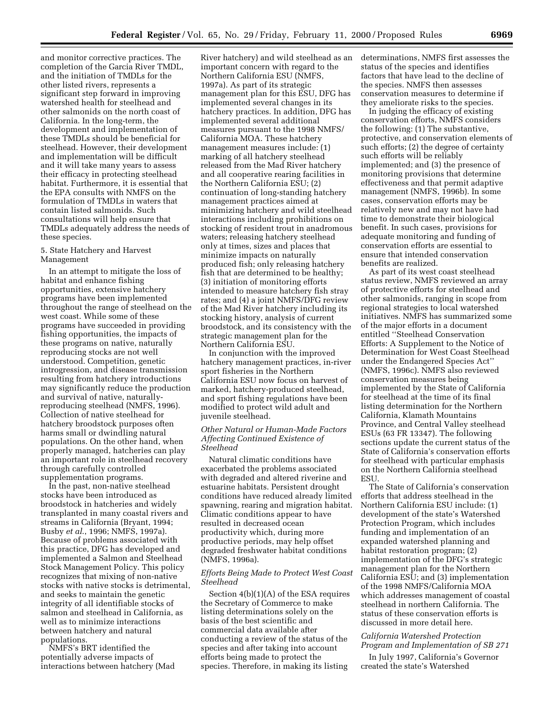and monitor corrective practices. The completion of the Garcia River TMDL, and the initiation of TMDLs for the other listed rivers, represents a significant step forward in improving watershed health for steelhead and other salmonids on the north coast of California. In the long-term, the development and implementation of these TMDLs should be beneficial for steelhead. However, their development and implementation will be difficult and it will take many years to assess their efficacy in protecting steelhead habitat. Furthermore, it is essential that the EPA consults with NMFS on the formulation of TMDLs in waters that contain listed salmonids. Such consultations will help ensure that TMDLs adequately address the needs of these species.

### 5. State Hatchery and Harvest Management

In an attempt to mitigate the loss of habitat and enhance fishing opportunities, extensive hatchery programs have been implemented throughout the range of steelhead on the west coast. While some of these programs have succeeded in providing fishing opportunities, the impacts of these programs on native, naturally reproducing stocks are not well understood. Competition, genetic introgression, and disease transmission resulting from hatchery introductions may significantly reduce the production and survival of native, naturallyreproducing steelhead (NMFS, 1996). Collection of native steelhead for hatchery broodstock purposes often harms small or dwindling natural populations. On the other hand, when properly managed, hatcheries can play an important role in steelhead recovery through carefully controlled supplementation programs.

In the past, non-native steelhead stocks have been introduced as broodstock in hatcheries and widely transplanted in many coastal rivers and streams in California (Bryant, 1994; Busby *et al*., 1996; NMFS, 1997a). Because of problems associated with this practice, DFG has developed and implemented a Salmon and Steelhead Stock Management Policy. This policy recognizes that mixing of non-native stocks with native stocks is detrimental, and seeks to maintain the genetic integrity of all identifiable stocks of salmon and steelhead in California, as well as to minimize interactions between hatchery and natural populations.

NMFS's BRT identified the potentially adverse impacts of interactions between hatchery (Mad

River hatchery) and wild steelhead as an important concern with regard to the Northern California ESU (NMFS, 1997a). As part of its strategic management plan for this ESU, DFG has implemented several changes in its hatchery practices. In addition, DFG has implemented several additional measures pursuant to the 1998 NMFS/ California MOA. These hatchery management measures include: (1) marking of all hatchery steelhead released from the Mad River hatchery and all cooperative rearing facilities in the Northern California ESU; (2) continuation of long-standing hatchery management practices aimed at minimizing hatchery and wild steelhead interactions including prohibitions on stocking of resident trout in anadromous waters; releasing hatchery steelhead only at times, sizes and places that minimize impacts on naturally produced fish; only releasing hatchery fish that are determined to be healthy; (3) initiation of monitoring efforts intended to measure hatchery fish stray rates; and (4) a joint NMFS/DFG review of the Mad River hatchery including its stocking history, analysis of current broodstock, and its consistency with the strategic management plan for the Northern California ESU.

In conjunction with the improved hatchery management practices, in-river sport fisheries in the Northern California ESU now focus on harvest of marked, hatchery-produced steelhead, and sport fishing regulations have been modified to protect wild adult and juvenile steelhead.

### *Other Natural or Human-Made Factors Affecting Continued Existence of Steelhead*

Natural climatic conditions have exacerbated the problems associated with degraded and altered riverine and estuarine habitats. Persistent drought conditions have reduced already limited spawning, rearing and migration habitat. Climatic conditions appear to have resulted in decreased ocean productivity which, during more productive periods, may help offset degraded freshwater habitat conditions (NMFS, 1996a).

### *Efforts Being Made to Protect West Coast Steelhead*

Section 4(b)(1)(A) of the ESA requires the Secretary of Commerce to make listing determinations solely on the basis of the best scientific and commercial data available after conducting a review of the status of the species and after taking into account efforts being made to protect the species. Therefore, in making its listing

determinations, NMFS first assesses the status of the species and identifies factors that have lead to the decline of the species. NMFS then assesses conservation measures to determine if they ameliorate risks to the species.

In judging the efficacy of existing conservation efforts, NMFS considers the following: (1) The substantive, protective, and conservation elements of such efforts; (2) the degree of certainty such efforts will be reliably implemented; and (3) the presence of monitoring provisions that determine effectiveness and that permit adaptive management (NMFS, 1996b). In some cases, conservation efforts may be relatively new and may not have had time to demonstrate their biological benefit. In such cases, provisions for adequate monitoring and funding of conservation efforts are essential to ensure that intended conservation benefits are realized.

As part of its west coast steelhead status review, NMFS reviewed an array of protective efforts for steelhead and other salmonids, ranging in scope from regional strategies to local watershed initiatives. NMFS has summarized some of the major efforts in a document entitled ''Steelhead Conservation Efforts: A Supplement to the Notice of Determination for West Coast Steelhead under the Endangered Species Act'' (NMFS, 1996c). NMFS also reviewed conservation measures being implemented by the State of California for steelhead at the time of its final listing determination for the Northern California, Klamath Mountains Province, and Central Valley steelhead ESUs (63 FR 13347). The following sections update the current status of the State of California's conservation efforts for steelhead with particular emphasis on the Northern California steelhead ESU.

The State of California's conservation efforts that address steelhead in the Northern California ESU include: (1) development of the state's Watershed Protection Program, which includes funding and implementation of an expanded watershed planning and habitat restoration program; (2) implementation of the DFG's strategic management plan for the Northern California ESU; and (3) implementation of the 1998 NMFS/California MOA which addresses management of coastal steelhead in northern California. The status of these conservation efforts is discussed in more detail here.

# *California Watershed Protection Program and Implementation of SB 271*

In July 1997, California's Governor created the state's Watershed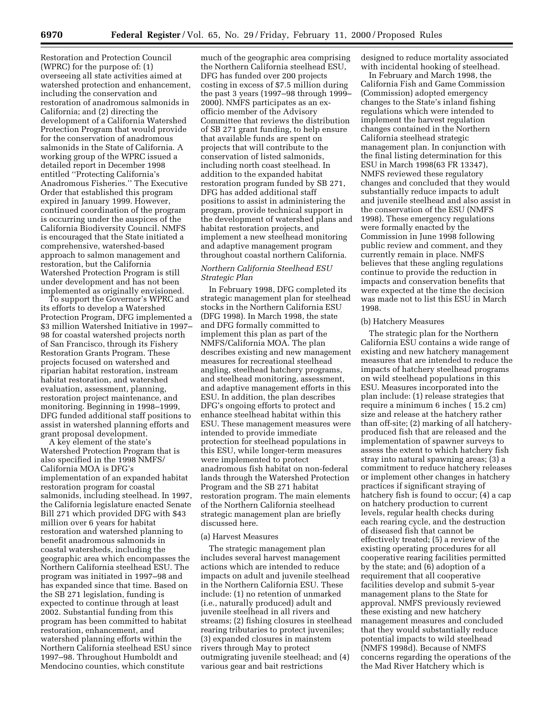Restoration and Protection Council (WPRC) for the purpose of: (1) overseeing all state activities aimed at watershed protection and enhancement, including the conservation and restoration of anadromous salmonids in California; and (2) directing the development of a California Watershed Protection Program that would provide for the conservation of anadromous salmonids in the State of California. A working group of the WPRC issued a detailed report in December 1998 entitled ''Protecting California's Anadromous Fisheries.'' The Executive Order that established this program expired in January 1999. However, continued coordination of the program is occurring under the auspices of the California Biodiversity Council. NMFS is encouraged that the State initiated a comprehensive, watershed-based approach to salmon management and restoration, but the California Watershed Protection Program is still under development and has not been implemented as originally envisioned.

To support the Governor's WPRC and its efforts to develop a Watershed Protection Program, DFG implemented a \$3 million Watershed Initiative in 1997– 98 for coastal watershed projects north of San Francisco, through its Fishery Restoration Grants Program. These projects focused on watershed and riparian habitat restoration, instream habitat restoration, and watershed evaluation, assessment, planning, restoration project maintenance, and monitoring. Beginning in 1998–1999, DFG funded additional staff positions to assist in watershed planning efforts and grant proposal development.

A key element of the state's Watershed Protection Program that is also specified in the 1998 NMFS/ California MOA is DFG's implementation of an expanded habitat restoration program for coastal salmonids, including steelhead. In 1997, the California legislature enacted Senate Bill 271 which provided DFG with \$43 million over 6 years for habitat restoration and watershed planning to benefit anadromous salmonids in coastal watersheds, including the geographic area which encompasses the Northern California steelhead ESU. The program was initiated in 1997–98 and has expanded since that time. Based on the SB 271 legislation, funding is expected to continue through at least 2002. Substantial funding from this program has been committed to habitat restoration, enhancement, and watershed planning efforts within the Northern California steelhead ESU since 1997–98. Throughout Humboldt and Mendocino counties, which constitute

much of the geographic area comprising the Northern California steelhead ESU, DFG has funded over 200 projects costing in excess of \$7.5 million during the past 3 years (1997–98 through 1999– 2000). NMFS participates as an exofficio member of the Advisory Committee that reviews the distribution of SB 271 grant funding, to help ensure that available funds are spent on projects that will contribute to the conservation of listed salmonids, including north coast steelhead. In addition to the expanded habitat restoration program funded by SB 271, DFG has added additional staff positions to assist in administering the program, provide technical support in the development of watershed plans and habitat restoration projects, and implement a new steelhead monitoring and adaptive management program throughout coastal northern California.

# *Northern California Steelhead ESU Strategic Plan*

In February 1998, DFG completed its strategic management plan for steelhead stocks in the Northern California ESU (DFG 1998). In March 1998, the state and DFG formally committed to implement this plan as part of the NMFS/California MOA. The plan describes existing and new management measures for recreational steelhead angling, steelhead hatchery programs, and steelhead monitoring, assessment, and adaptive management efforts in this ESU. In addition, the plan describes DFG's ongoing efforts to protect and enhance steelhead habitat within this ESU. These management measures were intended to provide immediate protection for steelhead populations in this ESU, while longer-term measures were implemented to protect anadromous fish habitat on non-federal lands through the Watershed Protection Program and the SB 271 habitat restoration program. The main elements of the Northern California steelhead strategic management plan are briefly discussed here.

#### (a) Harvest Measures

The strategic management plan includes several harvest management actions which are intended to reduce impacts on adult and juvenile steelhead in the Northern California ESU. These include: (1) no retention of unmarked (i.e., naturally produced) adult and juvenile steelhead in all rivers and streams; (2) fishing closures in steelhead rearing tributaries to protect juveniles; (3) expanded closures in mainstem rivers through May to protect outmigrating juvenile steelhead; and (4) various gear and bait restrictions

designed to reduce mortality associated with incidental hooking of steelhead.

In February and March 1998, the California Fish and Game Commission (Commission) adopted emergency changes to the State's inland fishing regulations which were intended to implement the harvest regulation changes contained in the Northern California steelhead strategic management plan. In conjunction with the final listing determination for this ESU in March 1998(63 FR 13347), NMFS reviewed these regulatory changes and concluded that they would substantially reduce impacts to adult and juvenile steelhead and also assist in the conservation of the ESU (NMFS 1998). These emergency regulations were formally enacted by the Commission in June 1998 following public review and comment, and they currently remain in place. NMFS believes that these angling regulations continue to provide the reduction in impacts and conservation benefits that were expected at the time the decision was made not to list this ESU in March 1998.

### (b) Hatchery Measures

The strategic plan for the Northern California ESU contains a wide range of existing and new hatchery management measures that are intended to reduce the impacts of hatchery steelhead programs on wild steelhead populations in this ESU. Measures incorporated into the plan include: (1) release strategies that require a minimum 6 inches ( 15.2 cm) size and release at the hatchery rather than off-site; (2) marking of all hatcheryproduced fish that are released and the implementation of spawner surveys to assess the extent to which hatchery fish stray into natural spawning areas; (3) a commitment to reduce hatchery releases or implement other changes in hatchery practices if significant straying of hatchery fish is found to occur; (4) a cap on hatchery production to current levels, regular health checks during each rearing cycle, and the destruction of diseased fish that cannot be effectively treated; (5) a review of the existing operating procedures for all cooperative rearing facilities permitted by the state; and (6) adoption of a requirement that all cooperative facilities develop and submit 5-year management plans to the State for approval. NMFS previously reviewed these existing and new hatchery management measures and concluded that they would substantially reduce potential impacts to wild steelhead (NMFS 1998d). Because of NMFS concerns regarding the operations of the the Mad River Hatchery which is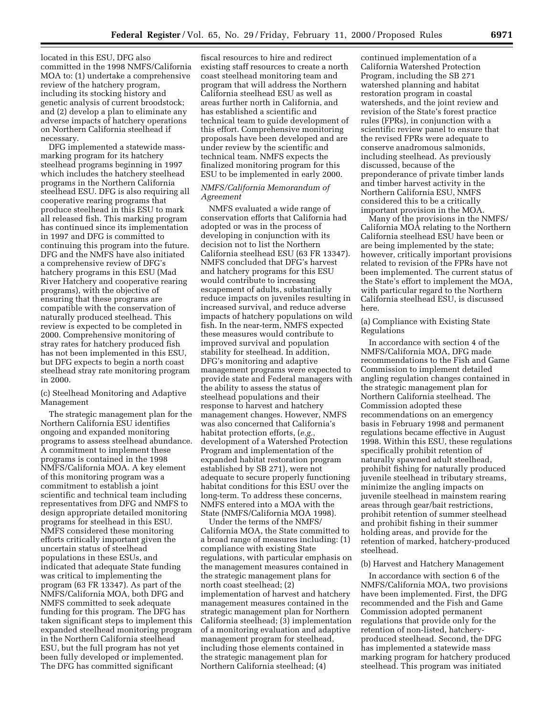located in this ESU, DFG also committed in the 1998 NMFS/California MOA to: (1) undertake a comprehensive review of the hatchery program, including its stocking history and genetic analysis of current broodstock; and (2) develop a plan to eliminate any adverse impacts of hatchery operations on Northern California steelhead if necessary.

DFG implemented a statewide massmarking program for its hatchery steelhead programs beginning in 1997 which includes the hatchery steelhead programs in the Northern California steelhead ESU. DFG is also requiring all cooperative rearing programs that produce steelhead in this ESU to mark all released fish. This marking program has continued since its implementation in 1997 and DFG is committed to continuing this program into the future. DFG and the NMFS have also initiated a comprehensive review of DFG's hatchery programs in this ESU (Mad River Hatchery and cooperative rearing programs), with the objective of ensuring that these programs are compatible with the conservation of naturally produced steelhead. This review is expected to be completed in 2000. Comprehensive monitoring of stray rates for hatchery produced fish has not been implemented in this ESU, but DFG expects to begin a north coast steelhead stray rate monitoring program in 2000.

### (c) Steelhead Monitoring and Adaptive Management

The strategic management plan for the Northern California ESU identifies ongoing and expanded monitoring programs to assess steelhead abundance. A commitment to implement these programs is contained in the 1998 NMFS/California MOA. A key element of this monitoring program was a commitment to establish a joint scientific and technical team including representatives from DFG and NMFS to design appropriate detailed monitoring programs for steelhead in this ESU. NMFS considered these monitoring efforts critically important given the uncertain status of steelhead populations in these ESUs, and indicated that adequate State funding was critical to implementing the program (63 FR 13347). As part of the NMFS/California MOA, both DFG and NMFS committed to seek adequate funding for this program. The DFG has taken significant steps to implement this expanded steelhead monitoring program in the Northern California steelhead ESU, but the full program has not yet been fully developed or implemented. The DFG has committed significant

fiscal resources to hire and redirect existing staff resources to create a north coast steelhead monitoring team and program that will address the Northern California steelhead ESU as well as areas further north in California, and has established a scientific and technical team to guide development of this effort. Comprehensive monitoring proposals have been developed and are under review by the scientific and technical team. NMFS expects the finalized monitoring program for this ESU to be implemented in early 2000.

### *NMFS/California Memorandum of Agreement*

NMFS evaluated a wide range of conservation efforts that California had adopted or was in the process of developing in conjunction with its decision not to list the Northern California steelhead ESU (63 FR 13347). NMFS concluded that DFG's harvest and hatchery programs for this ESU would contribute to increasing escapement of adults, substantially reduce impacts on juveniles resulting in increased survival, and reduce adverse impacts of hatchery populations on wild fish. In the near-term, NMFS expected these measures would contribute to improved survival and population stability for steelhead. In addition, DFG's monitoring and adaptive management programs were expected to provide state and Federal managers with the ability to assess the status of steelhead populations and their response to harvest and hatchery management changes. However, NMFS was also concerned that California's habitat protection efforts, (*e.g.*, development of a Watershed Protection Program and implementation of the expanded habitat restoration program established by SB 271), were not adequate to secure properly functioning habitat conditions for this ESU over the long-term. To address these concerns, NMFS entered into a MOA with the State (NMFS/California MOA 1998).

Under the terms of the NMFS/ California MOA, the State committed to a broad range of measures including: (1) compliance with existing State regulations, with particular emphasis on the management measures contained in the strategic management plans for north coast steelhead; (2) implementation of harvest and hatchery management measures contained in the strategic management plan for Northern California steelhead; (3) implementation of a monitoring evaluation and adaptive management program for steelhead, including those elements contained in the strategic management plan for Northern California steelhead; (4)

continued implementation of a California Watershed Protection Program, including the SB 271 watershed planning and habitat restoration program in coastal watersheds, and the joint review and revision of the State's forest practice rules (FPRs), in conjunction with a scientific review panel to ensure that the revised FPRs were adequate to conserve anadromous salmonids, including steelhead. As previously discussed, because of the preponderance of private timber lands and timber harvest activity in the Northern California ESU, NMFS considered this to be a critically important provision in the MOA.

Many of the provisions in the NMFS/ California MOA relating to the Northern California steelhead ESU have been or are being implemented by the state; however, critically important provisions related to revision of the FPRs have not been implemented. The current status of the State's effort to implement the MOA, with particular regard to the Northern California steelhead ESU, is discussed here.

### (a) Compliance with Existing State Regulations

In accordance with section 4 of the NMFS/California MOA, DFG made recommendations to the Fish and Game Commission to implement detailed angling regulation changes contained in the strategic management plan for Northern California steelhead. The Commission adopted these recommendations on an emergency basis in February 1998 and permanent regulations became effective in August 1998. Within this ESU, these regulations specifically prohibit retention of naturally spawned adult steelhead, prohibit fishing for naturally produced juvenile steelhead in tributary streams, minimize the angling impacts on juvenile steelhead in mainstem rearing areas through gear/bait restrictions, prohibit retention of summer steelhead and prohibit fishing in their summer holding areas, and provide for the retention of marked, hatchery-produced steelhead.

### (b) Harvest and Hatchery Management

In accordance with section 6 of the NMFS/California MOA, two provisions have been implemented. First, the DFG recommended and the Fish and Game Commission adopted permanent regulations that provide only for the retention of non-listed, hatcheryproduced steelhead. Second, the DFG has implemented a statewide mass marking program for hatchery produced steelhead. This program was initiated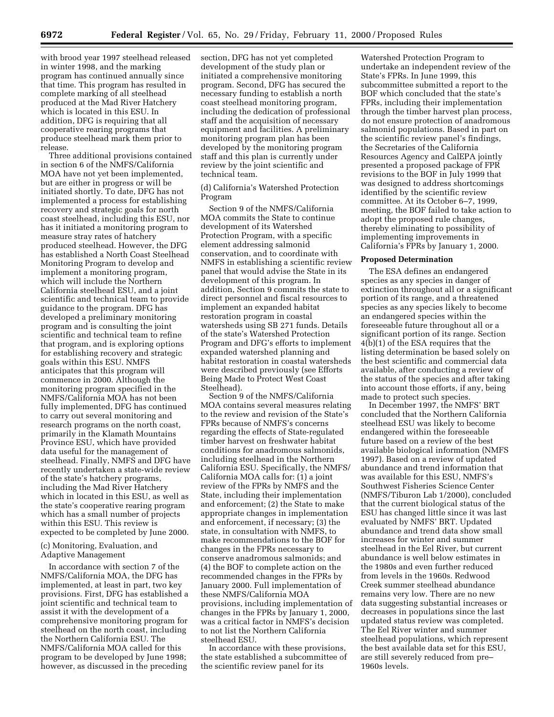with brood year 1997 steelhead released in winter 1998, and the marking program has continued annually since that time. This program has resulted in complete marking of all steelhead produced at the Mad River Hatchery which is located in this ESU. In addition, DFG is requiring that all cooperative rearing programs that produce steelhead mark them prior to release.

Three additional provisions contained in section 6 of the NMFS/California MOA have not yet been implemented, but are either in progress or will be initiated shortly. To date, DFG has not implemented a process for establishing recovery and strategic goals for north coast steelhead, including this ESU, nor has it initiated a monitoring program to measure stray rates of hatchery produced steelhead. However, the DFG has established a North Coast Steelhead Monitoring Program to develop and implement a monitoring program, which will include the Northern California steelhead ESU, and a joint scientific and technical team to provide guidance to the program. DFG has developed a preliminary monitoring program and is consulting the joint scientific and technical team to refine that program, and is exploring options for establishing recovery and strategic goals within this ESU. NMFS anticipates that this program will commence in 2000. Although the monitoring program specified in the NMFS/California MOA has not been fully implemented, DFG has continued to carry out several monitoring and research programs on the north coast, primarily in the Klamath Mountains Province ESU, which have provided data useful for the management of steelhead. Finally, NMFS and DFG have recently undertaken a state-wide review of the state's hatchery programs, including the Mad River Hatchery which in located in this ESU, as well as the state's cooperative rearing program which has a small number of projects within this ESU. This review is expected to be completed by June 2000.

(c) Monitoring, Evaluation, and Adaptive Management

In accordance with section 7 of the NMFS/California MOA, the DFG has implemented, at least in part, two key provisions. First, DFG has established a joint scientific and technical team to assist it with the development of a comprehensive monitoring program for steelhead on the north coast, including the Northern California ESU. The NMFS/California MOA called for this program to be developed by June 1998; however, as discussed in the preceding

section, DFG has not yet completed development of the study plan or initiated a comprehensive monitoring program. Second, DFG has secured the necessary funding to establish a north coast steelhead monitoring program, including the dedication of professional staff and the acquisition of necessary equipment and facilities. A preliminary monitoring program plan has been developed by the monitoring program staff and this plan is currently under review by the joint scientific and technical team.

(d) California's Watershed Protection Program

Section 9 of the NMFS/California MOA commits the State to continue development of its Watershed Protection Program, with a specific element addressing salmonid conservation, and to coordinate with NMFS in establishing a scientific review panel that would advise the State in its development of this program. In addition, Section 9 commits the state to direct personnel and fiscal resources to implement an expanded habitat restoration program in coastal watersheds using SB 271 funds. Details of the state's Watershed Protection Program and DFG's efforts to implement expanded watershed planning and habitat restoration in coastal watersheds were described previously (see Efforts Being Made to Protect West Coast Steelhead).

Section 9 of the NMFS/California MOA contains several measures relating to the review and revision of the State's FPRs because of NMFS's concerns regarding the effects of State-regulated timber harvest on freshwater habitat conditions for anadromous salmonids, including steelhead in the Northern California ESU. Specifically, the NMFS/ California MOA calls for: (1) a joint review of the FPRs by NMFS and the State, including their implementation and enforcement; (2) the State to make appropriate changes in implementation and enforcement, if necessary; (3) the state, in consultation with NMFS, to make recommendations to the BOF for changes in the FPRs necessary to conserve anadromous salmonids; and (4) the BOF to complete action on the recommended changes in the FPRs by January 2000. Full implementation of these NMFS/California MOA provisions, including implementation of changes in the FPRs by January 1, 2000, was a critical factor in NMFS's decision to not list the Northern California steelhead ESU.

In accordance with these provisions, the state established a subcommittee of the scientific review panel for its

Watershed Protection Program to undertake an independent review of the State's FPRs. In June 1999, this subcommittee submitted a report to the BOF which concluded that the state's FPRs, including their implementation through the timber harvest plan process, do not ensure protection of anadromous salmonid populations. Based in part on the scientific review panel's findings, the Secretaries of the California Resources Agency and CalEPA jointly presented a proposed package of FPR revisions to the BOF in July 1999 that was designed to address shortcomings identified by the scientific review committee. At its October 6–7, 1999, meeting, the BOF failed to take action to adopt the proposed rule changes, thereby eliminating to possibility of implementing improvements in California's FPRs by January 1, 2000.

#### **Proposed Determination**

The ESA defines an endangered species as any species in danger of extinction throughout all or a significant portion of its range, and a threatened species as any species likely to become an endangered species within the foreseeable future throughout all or a significant portion of its range. Section 4(b)(1) of the ESA requires that the listing determination be based solely on the best scientific and commercial data available, after conducting a review of the status of the species and after taking into account those efforts, if any, being made to protect such species.

In December 1997, the NMFS' BRT concluded that the Northern California steelhead ESU was likely to become endangered within the foreseeable future based on a review of the best available biological information (NMFS 1997). Based on a review of updated abundance and trend information that was available for this ESU, NMFS's Southwest Fisheries Science Center (NMFS/Tiburon Lab 1/2000), concluded that the current biological status of the ESU has changed little since it was last evaluated by NMFS' BRT. Updated abundance and trend data show small increases for winter and summer steelhead in the Eel River, but current abundance is well below estimates in the 1980s and even further reduced from levels in the 1960s. Redwood Creek summer steelhead abundance remains very low. There are no new data suggesting substantial increases or decreases in populations since the last updated status review was completed. The Eel River winter and summer steelhead populations, which represent the best available data set for this ESU, are still severely reduced from pre– 1960s levels.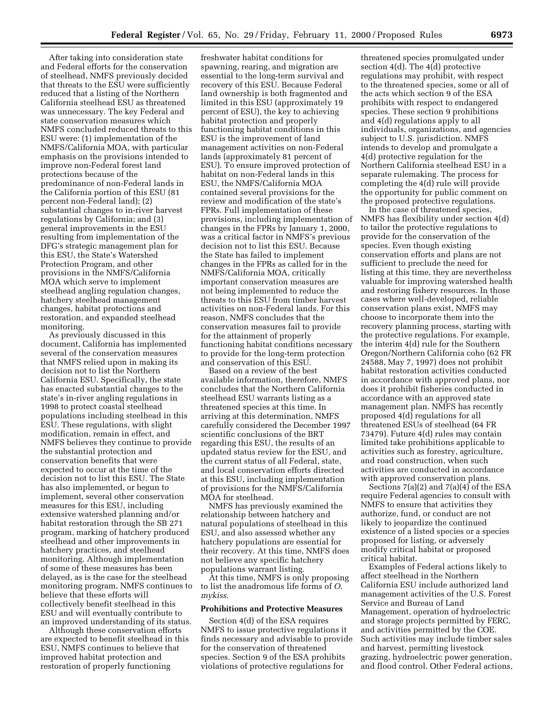After taking into consideration state and Federal efforts for the conservation of steelhead, NMFS previously decided that threats to the ESU were sufficiently reduced that a listing of the Northern California steelhead ESU as threatened was unnecessary. The key Federal and state conservation measures which NMFS concluded reduced threats to this ESU were: (1) implementation of the NMFS/California MOA, with particular emphasis on the provisions intended to improve non-Federal forest land protections because of the predominance of non-Federal lands in the California portion of this ESU (81 percent non-Federal land); (2) substantial changes to in-river harvest regulations by California; and (3) general improvements in the ESU resulting from implementation of the DFG's strategic management plan for this ESU, the State's Watershed Protection Program, and other provisions in the NMFS/California MOA which serve to implement steelhead angling regulation changes, hatchery steelhead management changes, habitat protections and restoration, and expanded steelhead monitoring.

As previously discussed in this document, California has implemented several of the conservation measures that NMFS relied upon in making its decision not to list the Northern California ESU. Specifically, the state has enacted substantial changes to the state's in-river angling regulations in 1998 to protect coastal steelhead populations including steelhead in this ESU. These regulations, with slight modification, remain in effect, and NMFS believes they continue to provide the substantial protection and conservation benefits that were expected to occur at the time of the decision not to list this ESU. The State has also implemented, or begun to implement, several other conservation measures for this ESU, including extensive watershed planning and/or habitat restoration through the SB 271 program, marking of hatchery produced steelhead and other improvements in hatchery practices, and steelhead monitoring. Although implementation of some of these measures has been delayed, as is the case for the steelhead monitoring program, NMFS continues to believe that these efforts will collectively benefit steelhead in this ESU and will eventually contribute to an improved understanding of its status.

Although these conservation efforts are expected to benefit steelhead in this ESU, NMFS continues to believe that improved habitat protection and restoration of properly functioning

freshwater habitat conditions for spawning, rearing, and migration are essential to the long-term survival and recovery of this ESU. Because Federal land ownership is both fragmented and limited in this ESU (approximately 19 percent of ESU), the key to achieving habitat protection and properly functioning habitat conditions in this ESU is the improvement of land management activities on non-Federal lands (approximately 81 percent of ESU). To ensure improved protection of habitat on non-Federal lands in this ESU, the NMFS/California MOA contained several provisions for the review and modification of the state's FPRs. Full implementation of these provisions, including implementation of changes in the FPRs by January 1, 2000, was a critical factor in NMFS's previous decision not to list this ESU. Because the State has failed to implement changes in the FPRs as called for in the NMFS/California MOA, critically important conservation measures are not being implemented to reduce the threats to this ESU from timber harvest activities on non-Federal lands. For this reason, NMFS concludes that the conservation measures fail to provide for the attainment of properly functioning habitat conditions necessary to provide for the long-term protection and conservation of this ESU.

Based on a review of the best available information, therefore, NMFS concludes that the Northern California steelhead ESU warrants listing as a threatened species at this time. In arriving at this determination, NMFS carefully considered the December 1997 scientific conclusions of the BRT regarding this ESU, the results of an updated status review for the ESU, and the current status of all Federal, state, and local conservation efforts directed at this ESU, including implementation of provisions for the NMFS/California MOA for steelhead.

NMFS has previously examined the relationship between hatchery and natural populations of steelhead in this ESU, and also assessed whether any hatchery populations are essential for their recovery. At this time, NMFS does not believe any specific hatchery populations warrant listing.

At this time, NMFS is only proposing to list the anadromous life forms of *O*. *mykiss*.

### **Prohibitions and Protective Measures**

Section 4(d) of the ESA requires NMFS to issue protective regulations it finds necessary and advisable to provide for the conservation of threatened species. Section 9 of the ESA prohibits violations of protective regulations for

threatened species promulgated under section 4(d). The 4(d) protective regulations may prohibit, with respect to the threatened species, some or all of the acts which section 9 of the ESA prohibits with respect to endangered species. These section 9 prohibitions and 4(d) regulations apply to all individuals, organizations, and agencies subject to U.S. jurisdiction. NMFS intends to develop and promulgate a 4(d) protective regulation for the Northern California steelhead ESU in a separate rulemaking. The process for completing the 4(d) rule will provide the opportunity for public comment on the proposed protective regulations.

In the case of threatened species, NMFS has flexibility under section 4(d) to tailor the protective regulations to provide for the conservation of the species. Even though existing conservation efforts and plans are not sufficient to preclude the need for listing at this time, they are nevertheless valuable for improving watershed health and restoring fishery resources. In those cases where well-developed, reliable conservation plans exist, NMFS may choose to incorporate them into the recovery planning process, starting with the protective regulations. For example, the interim 4(d) rule for the Southern Oregon/Northern California coho (62 FR 24588, May 7, 1997) does not prohibit habitat restoration activities conducted in accordance with approved plans, nor does it prohibit fisheries conducted in accordance with an approved state management plan. NMFS has recently proposed 4(d) regulations for all threatened ESUs of steelhead (64 FR 73479). Future 4(d) rules may contain limited take prohibitions applicable to activities such as forestry, agriculture, and road construction, when such activities are conducted in accordance with approved conservation plans.

Sections  $7(a)(2)$  and  $7(a)(4)$  of the ESA require Federal agencies to consult with NMFS to ensure that activities they authorize, fund, or conduct are not likely to jeopardize the continued existence of a listed species or a species proposed for listing, or adversely modify critical habitat or proposed critical habitat.

Examples of Federal actions likely to affect steelhead in the Northern California ESU include authorized land management activities of the U.S. Forest Service and Bureau of Land Management, operation of hydroelectric and storage projects permitted by FERC, and activities permitted by the COE. Such activities may include timber sales and harvest, permitting livestock grazing, hydroelectric power generation, and flood control. Other Federal actions,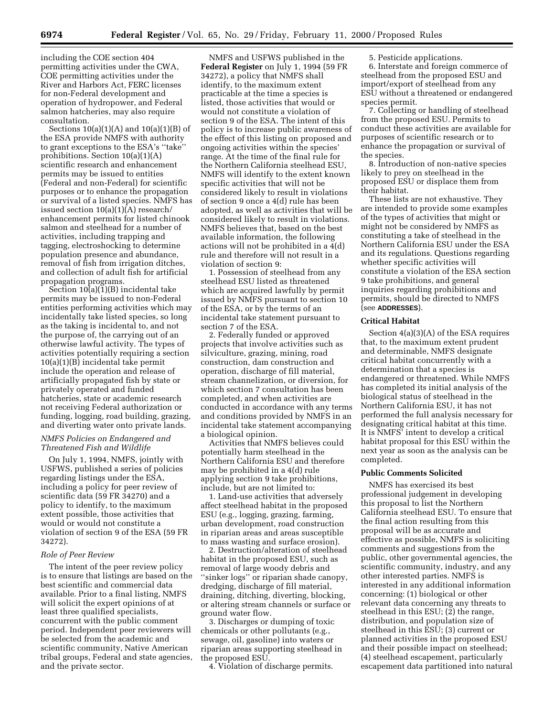including the COE section 404 permitting activities under the CWA, COE permitting activities under the River and Harbors Act, FERC licenses for non-Federal development and operation of hydropower, and Federal salmon hatcheries, may also require consultation.

Sections  $10(a)(1)(A)$  and  $10(a)(1)(B)$  of the ESA provide NMFS with authority to grant exceptions to the ESA's ''take'' prohibitions. Section 10(a)(1)(A) scientific research and enhancement permits may be issued to entities (Federal and non-Federal) for scientific purposes or to enhance the propagation or survival of a listed species. NMFS has issued section 10(a)(1)(A) research/ enhancement permits for listed chinook salmon and steelhead for a number of activities, including trapping and tagging, electroshocking to determine population presence and abundance, removal of fish from irrigation ditches, and collection of adult fish for artificial propagation programs.

Section 10(a)(1)(B) incidental take permits may be issued to non-Federal entities performing activities which may incidentally take listed species, so long as the taking is incidental to, and not the purpose of, the carrying out of an otherwise lawful activity. The types of activities potentially requiring a section 10(a)(1)(B) incidental take permit include the operation and release of artificially propagated fish by state or privately operated and funded hatcheries, state or academic research not receiving Federal authorization or funding, logging, road building, grazing, and diverting water onto private lands.

# *NMFS Policies on Endangered and Threatened Fish and Wildlife*

On July 1, 1994, NMFS, jointly with USFWS, published a series of policies regarding listings under the ESA, including a policy for peer review of scientific data (59 FR 34270) and a policy to identify, to the maximum extent possible, those activities that would or would not constitute a violation of section 9 of the ESA (59 FR 34272).

#### *Role of Peer Review*

The intent of the peer review policy is to ensure that listings are based on the best scientific and commercial data available. Prior to a final listing, NMFS will solicit the expert opinions of at least three qualified specialists, concurrent with the public comment period. Independent peer reviewers will be selected from the academic and scientific community, Native American tribal groups, Federal and state agencies, and the private sector.

NMFS and USFWS published in the **Federal Register** on July 1, 1994 (59 FR 34272), a policy that NMFS shall identify, to the maximum extent practicable at the time a species is listed, those activities that would or would not constitute a violation of section 9 of the ESA. The intent of this policy is to increase public awareness of the effect of this listing on proposed and ongoing activities within the species' range. At the time of the final rule for the Northern California steelhead ESU, NMFS will identify to the extent known specific activities that will not be considered likely to result in violations of section 9 once a 4(d) rule has been adopted, as well as activities that will be considered likely to result in violations. NMFS believes that, based on the best available information, the following actions will not be prohibited in a 4(d) rule and therefore will not result in a violation of section 9:

1. Possession of steelhead from any steelhead ESU listed as threatened which are acquired lawfully by permit issued by NMFS pursuant to section 10 of the ESA, or by the terms of an incidental take statement pursuant to section 7 of the ESA.

2. Federally funded or approved projects that involve activities such as silviculture, grazing, mining, road construction, dam construction and operation, discharge of fill material, stream channelization, or diversion, for which section 7 consultation has been completed, and when activities are conducted in accordance with any terms and conditions provided by NMFS in an incidental take statement accompanying a biological opinion.

Activities that NMFS believes could potentially harm steelhead in the Northern California ESU and therefore may be prohibited in a 4(d) rule applying section 9 take prohibitions, include, but are not limited to:

1. Land-use activities that adversely affect steelhead habitat in the proposed ESU (e.g., logging, grazing, farming, urban development, road construction in riparian areas and areas susceptible to mass wasting and surface erosion).

2. Destruction/alteration of steelhead habitat in the proposed ESU, such as removal of large woody debris and ''sinker logs'' or riparian shade canopy, dredging, discharge of fill material, draining, ditching, diverting, blocking, or altering stream channels or surface or ground water flow.

3. Discharges or dumping of toxic chemicals or other pollutants (e.g., sewage, oil, gasoline) into waters or riparian areas supporting steelhead in the proposed ESU.

4. Violation of discharge permits.

5. Pesticide applications.

6. Interstate and foreign commerce of steelhead from the proposed ESU and import/export of steelhead from any ESU without a threatened or endangered species permit.

7. Collecting or handling of steelhead from the proposed ESU. Permits to conduct these activities are available for purposes of scientific research or to enhance the propagation or survival of the species.

8. Introduction of non-native species likely to prey on steelhead in the proposed ESU or displace them from their habitat.

These lists are not exhaustive. They are intended to provide some examples of the types of activities that might or might not be considered by NMFS as constituting a take of steelhead in the Northern California ESU under the ESA and its regulations. Questions regarding whether specific activities will constitute a violation of the ESA section 9 take prohibitions, and general inquiries regarding prohibitions and permits, should be directed to NMFS (see **ADDRESSES**).

### **Critical Habitat**

Section 4(a)(3)(A) of the ESA requires that, to the maximum extent prudent and determinable, NMFS designate critical habitat concurrently with a determination that a species is endangered or threatened. While NMFS has completed its initial analysis of the biological status of steelhead in the Northern California ESU, it has not performed the full analysis necessary for designating critical habitat at this time. It is NMFS' intent to develop a critical habitat proposal for this ESU within the next year as soon as the analysis can be completed.

### **Public Comments Solicited**

NMFS has exercised its best professional judgement in developing this proposal to list the Northern California steelhead ESU. To ensure that the final action resulting from this proposal will be as accurate and effective as possible, NMFS is soliciting comments and suggestions from the public, other governmental agencies, the scientific community, industry, and any other interested parties. NMFS is interested in any additional information concerning: (1) biological or other relevant data concerning any threats to steelhead in this ESU; (2) the range, distribution, and population size of steelhead in this ESU; (3) current or planned activities in the proposed ESU and their possible impact on steelhead; (4) steelhead escapement, particularly escapement data partitioned into natural